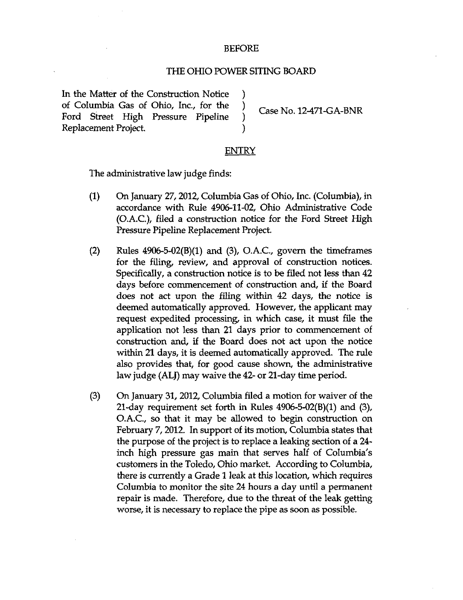## BEFORE

## THE OHIO POWER SITING BOARD

In the Matter of the Construction Notice ) of Columbia Gas of Ohio, Inc., for the )  $\qquad$  Case No. 12-471 c CA-BNR Ford Street High Pressure Pipeline<br>Replacement Project.

## **ENTRY**

The administrative law judge finds:

- (1) On January 27, 2012, Columbia Gas of Ohio, Inc. (Columbia), in accordance w^ith Rule 4906-11-02, Ohio Administrative Code (O.A.C), filed a construction notice for the Ford Street High Pressure Pipeline Replacement Project.
- (2) Rules  $4906-5-02(B)(1)$  and (3), O.A.C., govern the time frames for the filing, review, and approval of construction notices. Specifically, a construction notice is to be filed not less than 42 days before commencement of construction and, if the Board does not act upon the filing within 42 days, the notice is deemed automatically approved. However, the applicant may request expedited processing, in which case, it must file the application not less than 21 days prior to commencement of construction and, if the Board does not act upon the notice within 21 days, it is deemed automatically approved. The rule also provides that, for good cause shov^m, the administrative law judge (ALJ) may waive the 42- or 21-day time period.
- (3) On January 31, 2012, Columbia filed a motion for waiver of the 21-day requirement set forth in Rules 4906-5-02(B)(l) and (3), O.A.C, so that it may be allowed to begin construction on February 7,2012. In support of its motion, Columbia states that the purpose of the project is to replace a leaking section of a 24 inch high pressure gas main that serves half of Columbia's customers in the Toledo, Ohio market. According to Columbia, there is currently a Grade 1 leak at this location, which requires Columbia to monitor the site 24 hours a day until a permanent repair is made. Therefore, due to the threat of the leak getting worse, it is necessary to replace the pipe as soon as possible.